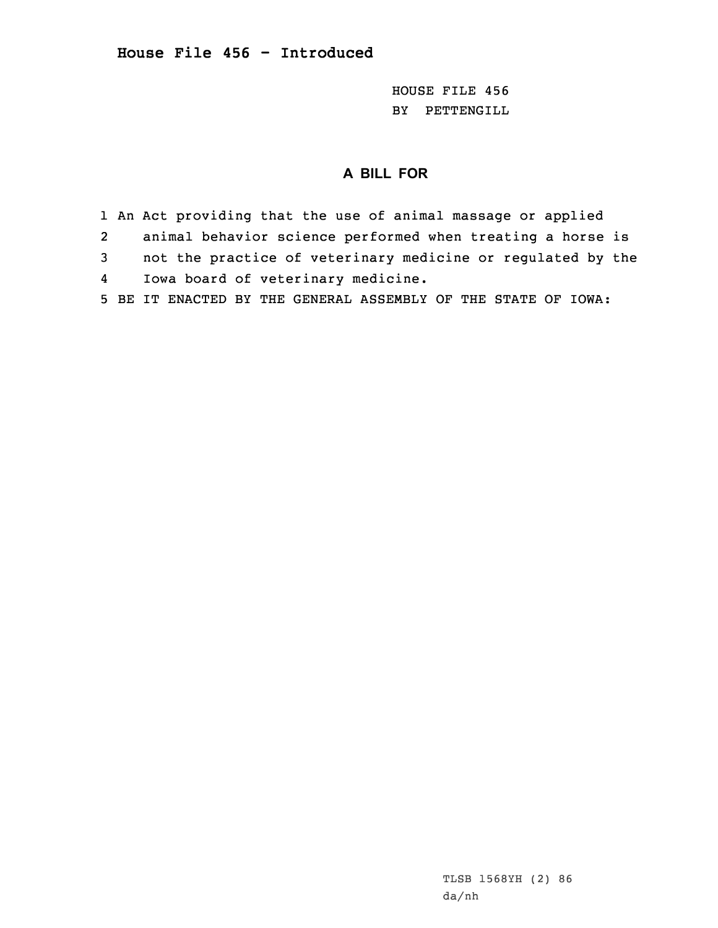HOUSE FILE 456 BY PETTENGILL

## **A BILL FOR**

1 An Act providing that the use of animal massage or applied

2animal behavior science performed when treating <sup>a</sup> horse is

3 not the practice of veterinary medicine or regulated by the 4Iowa board of veterinary medicine.

5 BE IT ENACTED BY THE GENERAL ASSEMBLY OF THE STATE OF IOWA: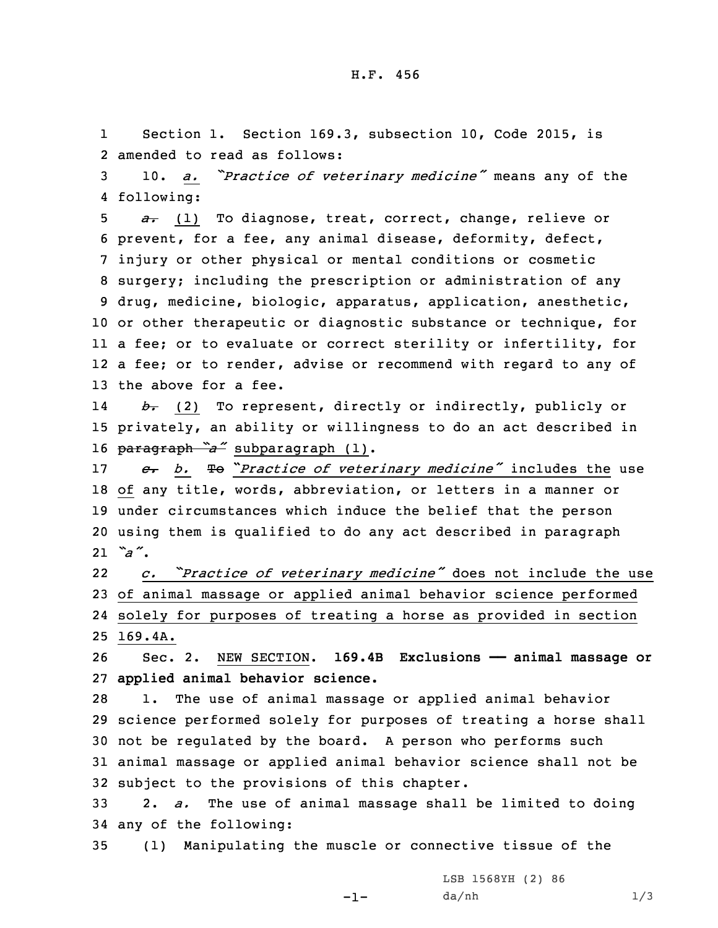1Section 1. Section 169.3, subsection 10, Code 2015, is 2 amended to read as follows:

<sup>3</sup> 10. *a. "Practice of veterinary medicine"* means any of the 4 following:

 *a.* (1) To diagnose, treat, correct, change, relieve or prevent, for <sup>a</sup> fee, any animal disease, deformity, defect, injury or other physical or mental conditions or cosmetic surgery; including the prescription or administration of any drug, medicine, biologic, apparatus, application, anesthetic, or other therapeutic or diagnostic substance or technique, for <sup>a</sup> fee; or to evaluate or correct sterility or infertility, for <sup>a</sup> fee; or to render, advise or recommend with regard to any of the above for a fee.

14 *b.* (2) To represent, directly or indirectly, publicly or 15 privately, an ability or willingness to do an act described in <sup>16</sup> paragraph *"a"* subparagraph (1).

 *c. b.* To "*Practice of veterinary medicine"* includes the use of any title, words, abbreviation, or letters in <sup>a</sup> manner or under circumstances which induce the belief that the person using them is qualified to do any act described in paragraph 21 *"a"*.

22 *c. "Practice of veterinary medicine"* does not include the use 23 of animal massage or applied animal behavior science performed 24 solely for purposes of treating <sup>a</sup> horse as provided in section 25 169.4A.

26 Sec. 2. NEW SECTION. **169.4B Exclusions —— animal massage or** 27 **applied animal behavior science.**

 1. The use of animal massage or applied animal behavior science performed solely for purposes of treating <sup>a</sup> horse shall not be regulated by the board. <sup>A</sup> person who performs such animal massage or applied animal behavior science shall not be subject to the provisions of this chapter.

33 2. *a.* The use of animal massage shall be limited to doing 34 any of the following:

35 (1) Manipulating the muscle or connective tissue of the

-1-

LSB 1568YH (2) 86 da/nh 1/3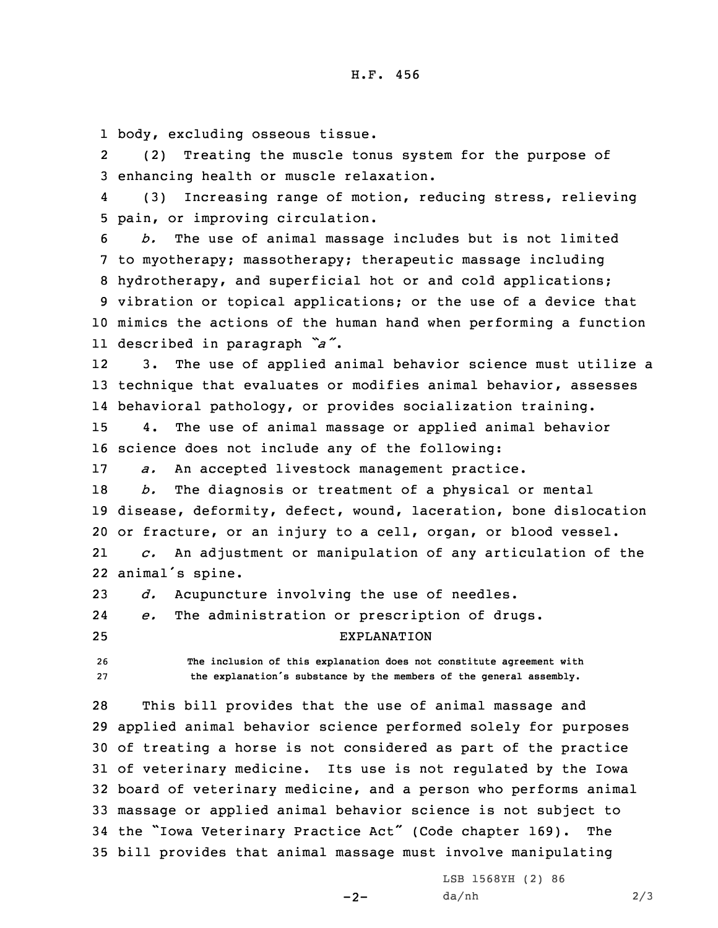1 body, excluding osseous tissue.

2 (2) Treating the muscle tonus system for the purpose of 3 enhancing health or muscle relaxation.

4 (3) Increasing range of motion, reducing stress, relieving 5 pain, or improving circulation.

 *b.* The use of animal massage includes but is not limited to myotherapy; massotherapy; therapeutic massage including hydrotherapy, and superficial hot or and cold applications; vibration or topical applications; or the use of <sup>a</sup> device that mimics the actions of the human hand when performing <sup>a</sup> function described in paragraph *"a"*.

12 3. The use of applied animal behavior science must utilize <sup>a</sup> 13 technique that evaluates or modifies animal behavior, assesses 14 behavioral pathology, or provides socialization training.

15 4. The use of animal massage or applied animal behavior 16 science does not include any of the following:

17 *a.* An accepted livestock management practice.

18 *b.* The diagnosis or treatment of <sup>a</sup> physical or mental 19 disease, deformity, defect, wound, laceration, bone dislocation 20 or fracture, or an injury to <sup>a</sup> cell, organ, or blood vessel.

21 *c.* An adjustment or manipulation of any articulation of the 22 animal's spine.

23 *d.* Acupuncture involving the use of needles.

24*e.* The administration or prescription of drugs.

25 EXPLANATION

26 **The inclusion of this explanation does not constitute agreement with** <sup>27</sup> **the explanation's substance by the members of the general assembly.**

 This bill provides that the use of animal massage and applied animal behavior science performed solely for purposes of treating <sup>a</sup> horse is not considered as part of the practice of veterinary medicine. Its use is not regulated by the Iowa board of veterinary medicine, and <sup>a</sup> person who performs animal massage or applied animal behavior science is not subject to the "Iowa Veterinary Practice Act" (Code chapter 169). The bill provides that animal massage must involve manipulating

 $-2-$ 

LSB 1568YH (2) 86  $da/nh$  2/3